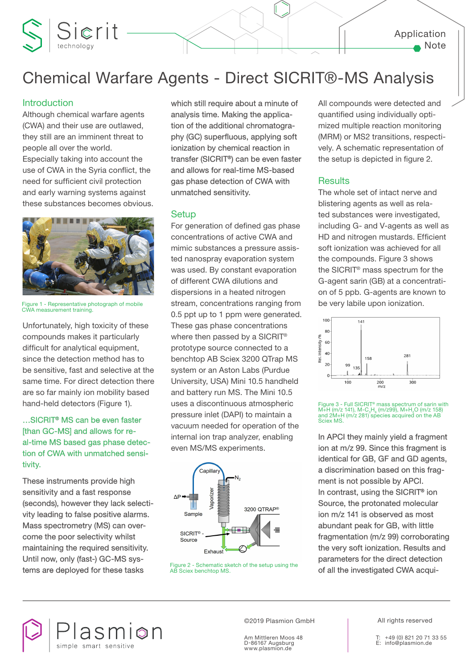

# Chemical Warfare Agents - Direct SICRIT®-MS Analysis

### **Introduction**

Although chemical warfare agents (CWA) and their use are outlawed, they still are an imminent threat to people all over the world. Especially taking into account the use of CWA in the Syria conflict, the need for sufficient civil protection and early warning systems against these substances becomes obvious.

Sierit



Figure 1 - Representative photograph of mobile CWA measurement training.

Unfortunately, high toxicity of these compounds makes it particularly difficult for analytical equipment, since the detection method has to be sensitive, fast and selective at the same time. For direct detection there are so far mainly ion mobility based hand-held detectors (Figure 1).

# …SICRIT® MS can be even faster [than GC-MS] and allows for real-time MS based gas phase detection of CWA with unmatched sensitivity.

These instruments provide high sensitivity and a fast response (seconds), however they lack selectivity leading to false positive alarms. Mass spectrometry (MS) can overcome the poor selectivity whilst maintaining the required sensitivity. Until now, only (fast-) GC-MS systems are deployed for these tasks

which still require about a minute of analysis time. Making the application of the additional chromatography (GC) superfluous, applying soft ionization by chemical reaction in transfer (SICRIT®) can be even faster and allows for real-time MS-based gas phase detection of CWA with unmatched sensitivity.

## **Setup**

For generation of defined gas phase concentrations of active CWA and mimic substances a pressure assisted nanospray evaporation system was used. By constant evaporation of different CWA dilutions and dispersions in a heated nitrogen stream, concentrations ranging from 0.5 ppt up to 1 ppm were generated. These gas phase concentrations where then passed by a SICRIT® prototype source connected to a benchtop AB Sciex 3200 QTrap MS system or an Aston Labs (Purdue University, USA) Mini 10.5 handheld and battery run MS. The Mini 10.5 uses a discontinuous atmospheric pressure inlet (DAPI) to maintain a vacuum needed for operation of the internal ion trap analyzer, enabling even MS/MS experiments.



Figure 2 - Schematic sketch of the setup using the **Figure 2 - Schematic sketch of the setup using the rime of all the investigated CWA acqui-**

All compounds were detected and quantified using individually optimized multiple reaction monitoring (MRM) or MS2 transitions, respectively. A schematic representation of the setup is depicted in figure 2.

# **Results**

The whole set of intact nerve and blistering agents as well as related substances were investigated, including G- and V-agents as well as HD and nitrogen mustards. Efficient soft ionization was achieved for all the compounds. Figure 3 shows the SICRIT® mass spectrum for the G-agent sarin (GB) at a concentration of 5 ppb. G-agents are known to be very labile upon ionization.



Figure 3 - Full SICRIT® mass spectrum of sarin with  $M+H(m/z 141)$ ,  $M-C_3H_6$  (m/z99),  $M+H_2O$  (m/z 158) and 2M+H (m/z 281) species acquired on the AB Sciex MS.

In APCI they mainly yield a fragment ion at m/z 99. Since this fragment is identical for GB, GF and GD agents, a discrimination based on this fragment is not possible by APCI. In contrast, using the SICRIT® ion Source, the protonated molecular ion m/z 141 is observed as most abundant peak for GB, with little fragmentation (m/z 99) corroborating the very soft ionization. Results and parameters for the direct detection

asmion simple smart sensitiv

©2019 Plasmion GmbH | All rights reserved

Am Mittleren Moos 48 D-86167 Augsburg www.plasmion.de